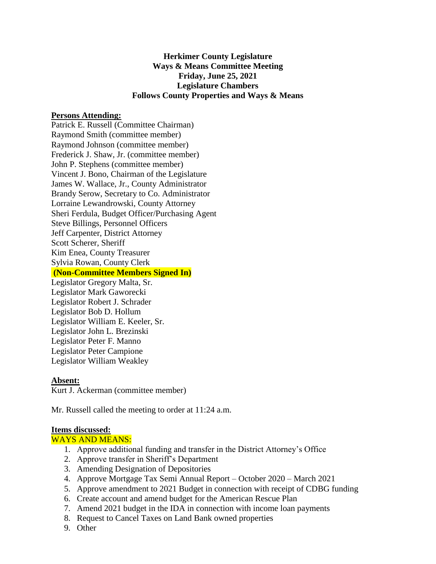# **Herkimer County Legislature Ways & Means Committee Meeting Friday, June 25, 2021 Legislature Chambers Follows County Properties and Ways & Means**

## **Persons Attending:**

Patrick E. Russell (Committee Chairman) Raymond Smith (committee member) Raymond Johnson (committee member) Frederick J. Shaw, Jr. (committee member) John P. Stephens (committee member) Vincent J. Bono, Chairman of the Legislature James W. Wallace, Jr., County Administrator Brandy Serow, Secretary to Co. Administrator Lorraine Lewandrowski, County Attorney Sheri Ferdula, Budget Officer/Purchasing Agent Steve Billings, Personnel Officers Jeff Carpenter, District Attorney Scott Scherer, Sheriff Kim Enea, County Treasurer Sylvia Rowan, County Clerk **(Non-Committee Members Signed In)**

Legislator Gregory Malta, Sr. Legislator Mark Gaworecki Legislator Robert J. Schrader Legislator Bob D. Hollum Legislator William E. Keeler, Sr. Legislator John L. Brezinski Legislator Peter F. Manno Legislator Peter Campione Legislator William Weakley

#### **Absent:**

Kurt J. Ackerman (committee member)

Mr. Russell called the meeting to order at 11:24 a.m.

#### **Items discussed:**

### WAYS AND MEANS:

- 1. Approve additional funding and transfer in the District Attorney's Office
- 2. Approve transfer in Sheriff's Department
- 3. Amending Designation of Depositories
- 4. Approve Mortgage Tax Semi Annual Report October 2020 March 2021
- 5. Approve amendment to 2021 Budget in connection with receipt of CDBG funding
- 6. Create account and amend budget for the American Rescue Plan
- 7. Amend 2021 budget in the IDA in connection with income loan payments
- 8. Request to Cancel Taxes on Land Bank owned properties
- 9. Other